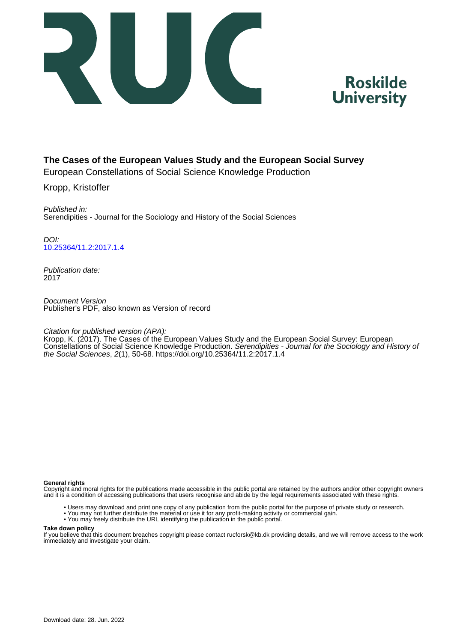



#### **The Cases of the European Values Study and the European Social Survey**

European Constellations of Social Science Knowledge Production

Kropp, Kristoffer

Published in: Serendipities - Journal for the Sociology and History of the Social Sciences

DOI: [10.25364/11.2:2017.1.4](https://doi.org/10.25364/11.2:2017.1.4)

Publication date: 2017

Document Version Publisher's PDF, also known as Version of record

Citation for published version (APA):

Kropp, K. (2017). The Cases of the European Values Study and the European Social Survey: European Constellations of Social Science Knowledge Production. Serendipities - Journal for the Sociology and History of the Social Sciences, 2(1), 50-68.<https://doi.org/10.25364/11.2:2017.1.4>

#### **General rights**

Copyright and moral rights for the publications made accessible in the public portal are retained by the authors and/or other copyright owners and it is a condition of accessing publications that users recognise and abide by the legal requirements associated with these rights.

- Users may download and print one copy of any publication from the public portal for the purpose of private study or research.
- You may not further distribute the material or use it for any profit-making activity or commercial gain.
- You may freely distribute the URL identifying the publication in the public portal.

#### **Take down policy**

If you believe that this document breaches copyright please contact rucforsk@kb.dk providing details, and we will remove access to the work immediately and investigate your claim.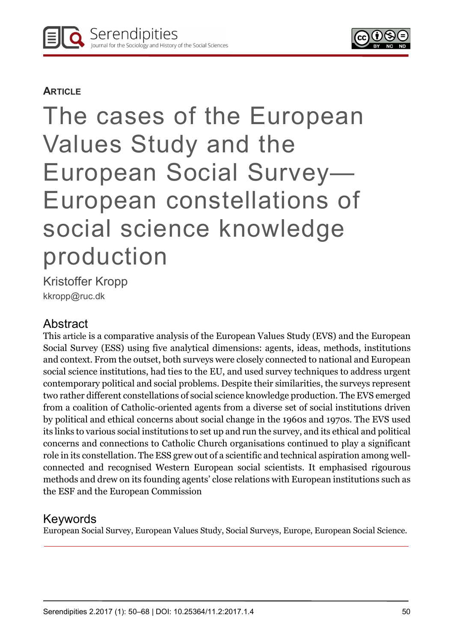

## **ARTICLE**

# The cases of the European Values Study and the European Social Survey— European constellations of social science knowledge production

Kristoffer Kropp kkropp@ruc.dk

## Abstract

This article is a comparative analysis of the European Values Study (EVS) and the European Social Survey (ESS) using five analytical dimensions: agents, ideas, methods, institutions and context. From the outset, both surveys were closely connected to national and European social science institutions, had ties to the EU, and used survey techniques to address urgent contemporary political and social problems. Despite their similarities, the surveys represent two rather different constellations of social science knowledge production. The EVS emerged from a coalition of Catholic-oriented agents from a diverse set of social institutions driven by political and ethical concerns about social change in the 1960s and 1970s. The EVS used its links to various social institutions to set up and run the survey, and its ethical and political concerns and connections to Catholic Church organisations continued to play a significant role in its constellation. The ESS grew out of a scientific and technical aspiration among wellconnected and recognised Western European social scientists. It emphasised rigourous methods and drew on its founding agents' close relations with European institutions such as the ESF and the European Commission

# Keywords

European Social Survey, European Values Study, Social Surveys, Europe, European Social Science.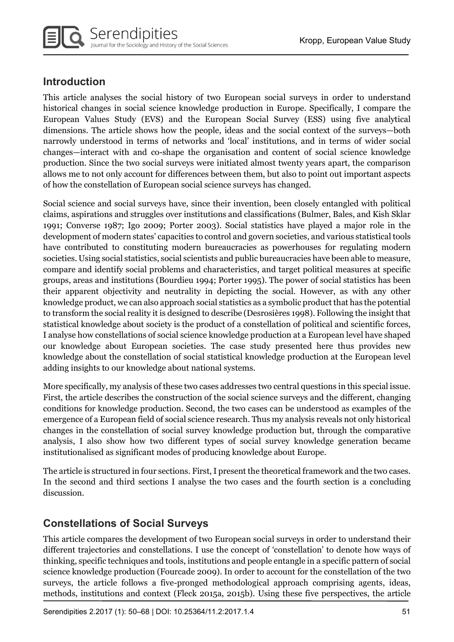

## Introduction

This article analyses the social history of two European social surveys in order to understand historical changes in social science knowledge production in Europe. Specifically, I compare the European Values Study (EVS) and the European Social Survey (ESS) using five analytical dimensions. The article shows how the people, ideas and the social context of the surveys—both narrowly understood in terms of networks and 'local' institutions, and in terms of wider social changes—interact with and co-shape the organisation and content of social science knowledge production. Since the two social surveys were initiated almost twenty years apart, the comparison allows me to not only account for differences between them, but also to point out important aspects of how the constellation of European social science surveys has changed.

Social science and social surveys have, since their invention, been closely entangled with political claims, aspirations and struggles over institutions and classifications (Bulmer, Bales, and Kish Sklar 1991; Converse 1987; Igo 2009; Porter 2003). Social statistics have played a major role in the development of modern states' capacities to control and govern societies, and various statistical tools have contributed to constituting modern bureaucracies as powerhouses for regulating modern societies. Using social statistics, social scientists and public bureaucracies have been able to measure, compare and identify social problems and characteristics, and target political measures at specific groups, areas and institutions (Bourdieu 1994; Porter 1995). The power of social statistics has been their apparent objectivity and neutrality in depicting the social. However, as with any other knowledge product, we can also approach social statistics as a symbolic product that has the potential to transform the social reality it is designed to describe (Desrosières 1998). Following the insight that statistical knowledge about society is the product of a constellation of political and scientific forces, I analyse how constellations of social science knowledge production at a European level have shaped our knowledge about European societies. The case study presented here thus provides new knowledge about the constellation of social statistical knowledge production at the European level adding insights to our knowledge about national systems.

More specifically, my analysis of these two cases addresses two central questions in this special issue. First, the article describes the construction of the social science surveys and the different, changing conditions for knowledge production. Second, the two cases can be understood as examples of the emergence of a European field of social science research. Thus my analysis reveals not only historical changes in the constellation of social survey knowledge production but, through the comparative analysis, I also show how two different types of social survey knowledge generation became institutionalised as significant modes of producing knowledge about Europe.

The article is structured in four sections. First, I present the theoretical framework and the two cases. In the second and third sections I analyse the two cases and the fourth section is a concluding discussion.

## Constellations of Social Surveys

This article compares the development of two European social surveys in order to understand their different trajectories and constellations. I use the concept of 'constellation' to denote how ways of thinking, specific techniques and tools, institutions and people entangle in a specific pattern of social science knowledge production (Fourcade 2009). In order to account for the constellation of the two surveys, the article follows a five-pronged methodological approach comprising agents, ideas, methods, institutions and context (Fleck 2015a, 2015b). Using these five perspectives, the article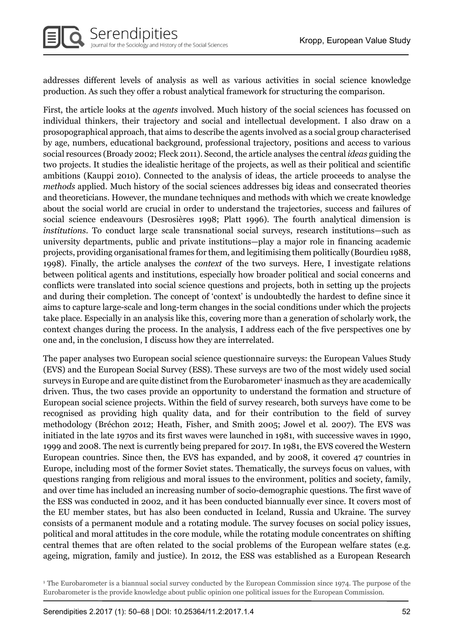addresses different levels of analysis as well as various activities in social science knowledge production. As such they offer a robust analytical framework for structuring the comparison.

First, the article looks at the agents involved. Much history of the social sciences has focussed on individual thinkers, their trajectory and social and intellectual development. I also draw on a prosopographical approach, that aims to describe the agents involved as a social group characterised by age, numbers, educational background, professional trajectory, positions and access to various social resources (Broady 2002; Fleck 2011). Second, the article analyses the central ideas guiding the two projects. It studies the idealistic heritage of the projects, as well as their political and scientific ambitions (Kauppi 2010). Connected to the analysis of ideas, the article proceeds to analyse the methods applied. Much history of the social sciences addresses big ideas and consecrated theories and theoreticians. However, the mundane techniques and methods with which we create knowledge about the social world are crucial in order to understand the trajectories, success and failures of social science endeavours (Desrosières 1998; Platt 1996). The fourth analytical dimension is institutions. To conduct large scale transnational social surveys, research institutions—such as university departments, public and private institutions—play a major role in financing academic projects, providing organisational frames for them, and legitimising them politically (Bourdieu 1988, 1998). Finally, the article analyses the context of the two surveys. Here, I investigate relations between political agents and institutions, especially how broader political and social concerns and conflicts were translated into social science questions and projects, both in setting up the projects and during their completion. The concept of 'context' is undoubtedly the hardest to define since it aims to capture large-scale and long-term changes in the social conditions under which the projects take place. Especially in an analysis like this, covering more than a generation of scholarly work, the context changes during the process. In the analysis, I address each of the five perspectives one by one and, in the conclusion, I discuss how they are interrelated.

The paper analyses two European social science questionnaire surveys: the European Values Study (EVS) and the European Social Survey (ESS). These surveys are two of the most widely used social surveys in Europe and are quite distinct from the Eurobarometer<sup>1</sup> inasmuch as they are academically driven. Thus, the two cases provide an opportunity to understand the formation and structure of European social science projects. Within the field of survey research, both surveys have come to be recognised as providing high quality data, and for their contribution to the field of survey methodology (Bréchon 2012; Heath, Fisher, and Smith 2005; Jowel et al. 2007). The EVS was initiated in the late 1970s and its first waves were launched in 1981, with successive waves in 1990, 1999 and 2008. The next is currently being prepared for 2017. In 1981, the EVS covered the Western European countries. Since then, the EVS has expanded, and by 2008, it covered 47 countries in Europe, including most of the former Soviet states. Thematically, the surveys focus on values, with questions ranging from religious and moral issues to the environment, politics and society, family, and over time has included an increasing number of socio-demographic questions. The first wave of the ESS was conducted in 2002, and it has been conducted biannually ever since. It covers most of the EU member states, but has also been conducted in Iceland, Russia and Ukraine. The survey consists of a permanent module and a rotating module. The survey focuses on social policy issues, political and moral attitudes in the core module, while the rotating module concentrates on shifting central themes that are often related to the social problems of the European welfare states (e.g. ageing, migration, family and justice). In 2012, the ESS was established as a European Research

<sup>1</sup> The Eurobarometer is a biannual social survey conducted by the European Commission since 1974. The purpose of the Eurobarometer is the provide knowledge about public opinion one political issues for the European Commission.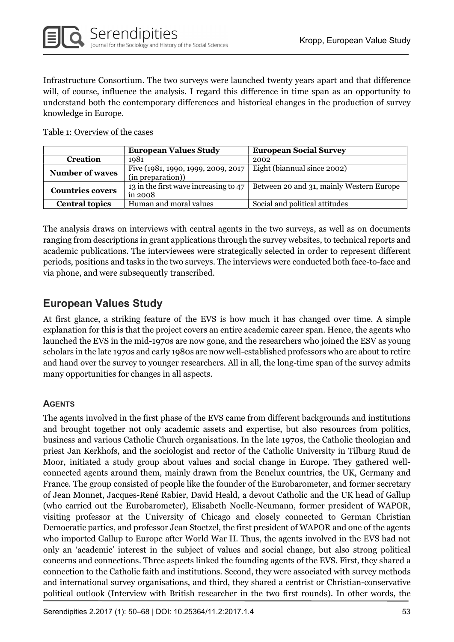Infrastructure Consortium. The two surveys were launched twenty years apart and that difference will, of course, influence the analysis. I regard this difference in time span as an opportunity to understand both the contemporary differences and historical changes in the production of survey knowledge in Europe.

Table 1: Overview of the cases

|                         | <b>European Values Study</b>          | <b>European Social Survey</b>            |
|-------------------------|---------------------------------------|------------------------------------------|
| <b>Creation</b>         | 1981                                  | 2002                                     |
| <b>Number of waves</b>  | Five (1981, 1990, 1999, 2009, 2017    | Eight (biannual since 2002)              |
|                         | (in preparation))                     |                                          |
| <b>Countries covers</b> | 13 in the first wave increasing to 47 | Between 20 and 31, mainly Western Europe |
|                         | in 2008                               |                                          |
| <b>Central topics</b>   | Human and moral values                | Social and political attitudes           |

The analysis draws on interviews with central agents in the two surveys, as well as on documents ranging from descriptions in grant applications through the survey websites, to technical reports and academic publications. The interviewees were strategically selected in order to represent different periods, positions and tasks in the two surveys. The interviews were conducted both face-to-face and via phone, and were subsequently transcribed.

## European Values Study

At first glance, a striking feature of the EVS is how much it has changed over time. A simple explanation for this is that the project covers an entire academic career span. Hence, the agents who launched the EVS in the mid-1970s are now gone, and the researchers who joined the ESV as young scholars in the late 1970s and early 1980s are now well-established professors who are about to retire and hand over the survey to younger researchers. All in all, the long-time span of the survey admits many opportunities for changes in all aspects.

### **AGENTS**

The agents involved in the first phase of the EVS came from different backgrounds and institutions and brought together not only academic assets and expertise, but also resources from politics, business and various Catholic Church organisations. In the late 1970s, the Catholic theologian and priest Jan Kerkhofs, and the sociologist and rector of the Catholic University in Tilburg Ruud de Moor, initiated a study group about values and social change in Europe. They gathered wellconnected agents around them, mainly drawn from the Benelux countries, the UK, Germany and France. The group consisted of people like the founder of the Eurobarometer, and former secretary of Jean Monnet, Jacques-René Rabier, David Heald, a devout Catholic and the UK head of Gallup (who carried out the Eurobarometer), Elisabeth Noelle-Neumann, former president of WAPOR, visiting professor at the University of Chicago and closely connected to German Christian Democratic parties, and professor Jean Stoetzel, the first president of WAPOR and one of the agents who imported Gallup to Europe after World War II. Thus, the agents involved in the EVS had not only an 'academic' interest in the subject of values and social change, but also strong political concerns and connections. Three aspects linked the founding agents of the EVS. First, they shared a connection to the Catholic faith and institutions. Second, they were associated with survey methods and international survey organisations, and third, they shared a centrist or Christian-conservative political outlook (Interview with British researcher in the two first rounds). In other words, the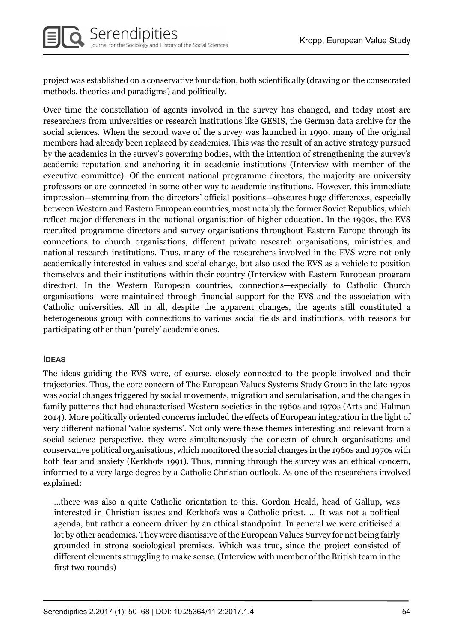project was established on a conservative foundation, both scientifically (drawing on the consecrated methods, theories and paradigms) and politically.

Over time the constellation of agents involved in the survey has changed, and today most are researchers from universities or research institutions like GESIS, the German data archive for the social sciences. When the second wave of the survey was launched in 1990, many of the original members had already been replaced by academics. This was the result of an active strategy pursued by the academics in the survey's governing bodies, with the intention of strengthening the survey's academic reputation and anchoring it in academic institutions (Interview with member of the executive committee). Of the current national programme directors, the majority are university professors or are connected in some other way to academic institutions. However, this immediate impression—stemming from the directors' official positions—obscures huge differences, especially between Western and Eastern European countries, most notably the former Soviet Republics, which reflect major differences in the national organisation of higher education. In the 1990s, the EVS recruited programme directors and survey organisations throughout Eastern Europe through its connections to church organisations, different private research organisations, ministries and national research institutions. Thus, many of the researchers involved in the EVS were not only academically interested in values and social change, but also used the EVS as a vehicle to position themselves and their institutions within their country (Interview with Eastern European program director). In the Western European countries, connections—especially to Catholic Church organisations—were maintained through financial support for the EVS and the association with Catholic universities. All in all, despite the apparent changes, the agents still constituted a heterogeneous group with connections to various social fields and institutions, with reasons for participating other than 'purely' academic ones.

#### IDEAS

The ideas guiding the EVS were, of course, closely connected to the people involved and their trajectories. Thus, the core concern of The European Values Systems Study Group in the late 1970s was social changes triggered by social movements, migration and secularisation, and the changes in family patterns that had characterised Western societies in the 1960s and 1970s (Arts and Halman 2014). More politically oriented concerns included the effects of European integration in the light of very different national 'value systems'. Not only were these themes interesting and relevant from a social science perspective, they were simultaneously the concern of church organisations and conservative political organisations, which monitored the social changes in the 1960s and 1970s with both fear and anxiety (Kerkhofs 1991). Thus, running through the survey was an ethical concern, informed to a very large degree by a Catholic Christian outlook. As one of the researchers involved explained:

…there was also a quite Catholic orientation to this. Gordon Heald, head of Gallup, was interested in Christian issues and Kerkhofs was a Catholic priest. … It was not a political agenda, but rather a concern driven by an ethical standpoint. In general we were criticised a lot by other academics. They were dismissive of the European Values Survey for not being fairly grounded in strong sociological premises. Which was true, since the project consisted of different elements struggling to make sense. (Interview with member of the British team in the first two rounds)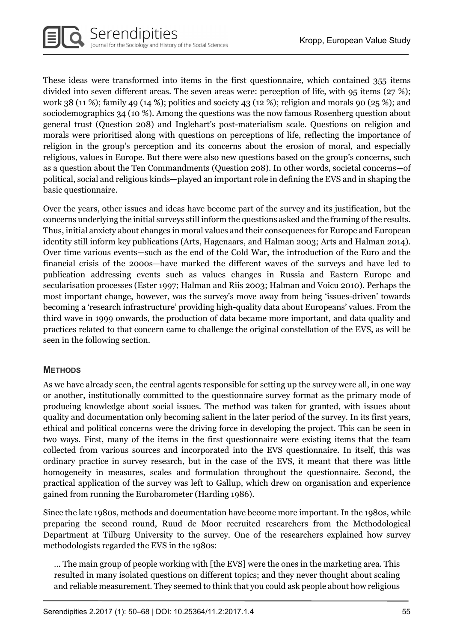These ideas were transformed into items in the first questionnaire, which contained 355 items divided into seven different areas. The seven areas were: perception of life, with 95 items (27 %); work 38 (11 %); family 49 (14 %); politics and society 43 (12 %); religion and morals 90 (25 %); and sociodemographics 34 (10 %). Among the questions was the now famous Rosenberg question about general trust (Question 208) and Inglehart's post-materialism scale. Questions on religion and morals were prioritised along with questions on perceptions of life, reflecting the importance of religion in the group's perception and its concerns about the erosion of moral, and especially religious, values in Europe. But there were also new questions based on the group's concerns, such as a question about the Ten Commandments (Question 208). In other words, societal concerns—of political, social and religious kinds—played an important role in defining the EVS and in shaping the basic questionnaire.

Over the years, other issues and ideas have become part of the survey and its justification, but the concerns underlying the initial surveys still inform the questions asked and the framing of the results. Thus, initial anxiety about changes in moral values and their consequences for Europe and European identity still inform key publications (Arts, Hagenaars, and Halman 2003; Arts and Halman 2014). Over time various events—such as the end of the Cold War, the introduction of the Euro and the financial crisis of the 2000s—have marked the different waves of the surveys and have led to publication addressing events such as values changes in Russia and Eastern Europe and secularisation processes (Ester 1997; Halman and Riis 2003; Halman and Voicu 2010). Perhaps the most important change, however, was the survey's move away from being 'issues-driven' towards becoming a 'research infrastructure' providing high-quality data about Europeans' values. From the third wave in 1999 onwards, the production of data became more important, and data quality and practices related to that concern came to challenge the original constellation of the EVS, as will be seen in the following section.

#### **METHODS**

As we have already seen, the central agents responsible for setting up the survey were all, in one way or another, institutionally committed to the questionnaire survey format as the primary mode of producing knowledge about social issues. The method was taken for granted, with issues about quality and documentation only becoming salient in the later period of the survey. In its first years, ethical and political concerns were the driving force in developing the project. This can be seen in two ways. First, many of the items in the first questionnaire were existing items that the team collected from various sources and incorporated into the EVS questionnaire. In itself, this was ordinary practice in survey research, but in the case of the EVS, it meant that there was little homogeneity in measures, scales and formulation throughout the questionnaire. Second, the practical application of the survey was left to Gallup, which drew on organisation and experience gained from running the Eurobarometer (Harding 1986).

Since the late 1980s, methods and documentation have become more important. In the 1980s, while preparing the second round, Ruud de Moor recruited researchers from the Methodological Department at Tilburg University to the survey. One of the researchers explained how survey methodologists regarded the EVS in the 1980s:

… The main group of people working with [the EVS] were the ones in the marketing area. This resulted in many isolated questions on different topics; and they never thought about scaling and reliable measurement. They seemed to think that you could ask people about how religious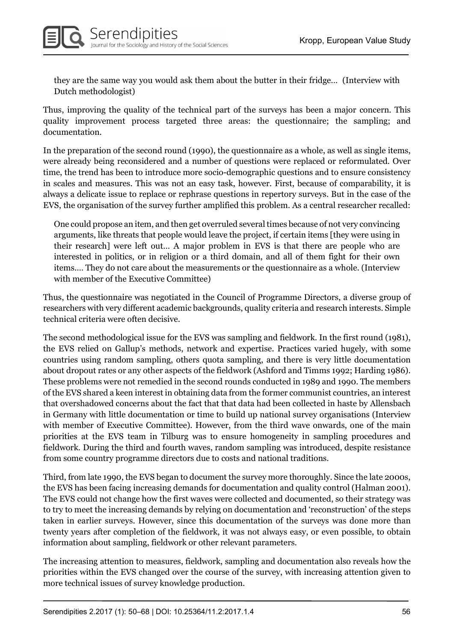they are the same way you would ask them about the butter in their fridge… (Interview with Dutch methodologist)

Thus, improving the quality of the technical part of the surveys has been a major concern. This quality improvement process targeted three areas: the questionnaire; the sampling; and documentation.

In the preparation of the second round (1990), the questionnaire as a whole, as well as single items, were already being reconsidered and a number of questions were replaced or reformulated. Over time, the trend has been to introduce more socio-demographic questions and to ensure consistency in scales and measures. This was not an easy task, however. First, because of comparability, it is always a delicate issue to replace or rephrase questions in repertory surveys. But in the case of the EVS, the organisation of the survey further amplified this problem. As a central researcher recalled:

One could propose an item, and then get overruled several times because of not very convincing arguments, like threats that people would leave the project, if certain items [they were using in their research] were left out… A major problem in EVS is that there are people who are interested in politics, or in religion or a third domain, and all of them fight for their own items.… They do not care about the measurements or the questionnaire as a whole. (Interview with member of the Executive Committee)

Thus, the questionnaire was negotiated in the Council of Programme Directors, a diverse group of researchers with very different academic backgrounds, quality criteria and research interests. Simple technical criteria were often decisive.

The second methodological issue for the EVS was sampling and fieldwork. In the first round (1981), the EVS relied on Gallup's methods, network and expertise. Practices varied hugely, with some countries using random sampling, others quota sampling, and there is very little documentation about dropout rates or any other aspects of the fieldwork (Ashford and Timms 1992; Harding 1986). These problems were not remedied in the second rounds conducted in 1989 and 1990. The members of the EVS shared a keen interest in obtaining data from the former communist countries, an interest that overshadowed concerns about the fact that that data had been collected in haste by Allensbach in Germany with little documentation or time to build up national survey organisations (Interview with member of Executive Committee). However, from the third wave onwards, one of the main priorities at the EVS team in Tilburg was to ensure homogeneity in sampling procedures and fieldwork. During the third and fourth waves, random sampling was introduced, despite resistance from some country programme directors due to costs and national traditions.

Third, from late 1990, the EVS began to document the survey more thoroughly. Since the late 2000s, the EVS has been facing increasing demands for documentation and quality control (Halman 2001). The EVS could not change how the first waves were collected and documented, so their strategy was to try to meet the increasing demands by relying on documentation and 'reconstruction' of the steps taken in earlier surveys. However, since this documentation of the surveys was done more than twenty years after completion of the fieldwork, it was not always easy, or even possible, to obtain information about sampling, fieldwork or other relevant parameters.

The increasing attention to measures, fieldwork, sampling and documentation also reveals how the priorities within the EVS changed over the course of the survey, with increasing attention given to more technical issues of survey knowledge production.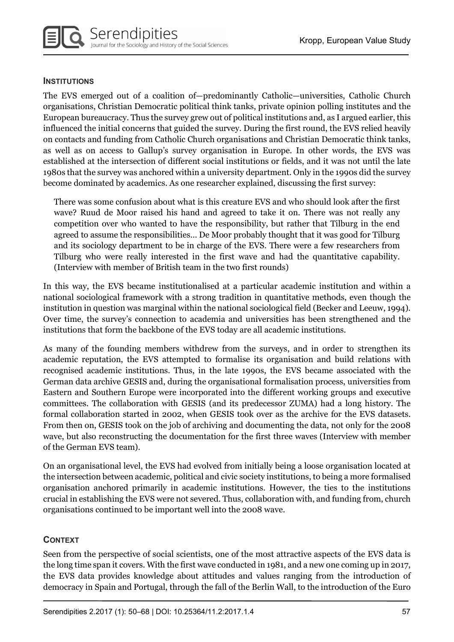#### **INSTITUTIONS**

The EVS emerged out of a coalition of—predominantly Catholic—universities, Catholic Church organisations, Christian Democratic political think tanks, private opinion polling institutes and the European bureaucracy. Thus the survey grew out of political institutions and, as I argued earlier, this influenced the initial concerns that guided the survey. During the first round, the EVS relied heavily on contacts and funding from Catholic Church organisations and Christian Democratic think tanks, as well as on access to Gallup's survey organisation in Europe. In other words, the EVS was established at the intersection of different social institutions or fields, and it was not until the late 1980s that the survey was anchored within a university department. Only in the 1990s did the survey become dominated by academics. As one researcher explained, discussing the first survey:

There was some confusion about what is this creature EVS and who should look after the first wave? Ruud de Moor raised his hand and agreed to take it on. There was not really any competition over who wanted to have the responsibility, but rather that Tilburg in the end agreed to assume the responsibilities… De Moor probably thought that it was good for Tilburg and its sociology department to be in charge of the EVS. There were a few researchers from Tilburg who were really interested in the first wave and had the quantitative capability. (Interview with member of British team in the two first rounds)

In this way, the EVS became institutionalised at a particular academic institution and within a national sociological framework with a strong tradition in quantitative methods, even though the institution in question was marginal within the national sociological field (Becker and Leeuw, 1994). Over time, the survey's connection to academia and universities has been strengthened and the institutions that form the backbone of the EVS today are all academic institutions.

As many of the founding members withdrew from the surveys, and in order to strengthen its academic reputation, the EVS attempted to formalise its organisation and build relations with recognised academic institutions. Thus, in the late 1990s, the EVS became associated with the German data archive GESIS and, during the organisational formalisation process, universities from Eastern and Southern Europe were incorporated into the different working groups and executive committees. The collaboration with GESIS (and its predecessor ZUMA) had a long history. The formal collaboration started in 2002, when GESIS took over as the archive for the EVS datasets. From then on, GESIS took on the job of archiving and documenting the data, not only for the 2008 wave, but also reconstructing the documentation for the first three waves (Interview with member of the German EVS team).

On an organisational level, the EVS had evolved from initially being a loose organisation located at the intersection between academic, political and civic society institutions, to being a more formalised organisation anchored primarily in academic institutions. However, the ties to the institutions crucial in establishing the EVS were not severed. Thus, collaboration with, and funding from, church organisations continued to be important well into the 2008 wave.

#### **CONTEXT**

Seen from the perspective of social scientists, one of the most attractive aspects of the EVS data is the long time span it covers. With the first wave conducted in 1981, and a new one coming up in 2017, the EVS data provides knowledge about attitudes and values ranging from the introduction of democracy in Spain and Portugal, through the fall of the Berlin Wall, to the introduction of the Euro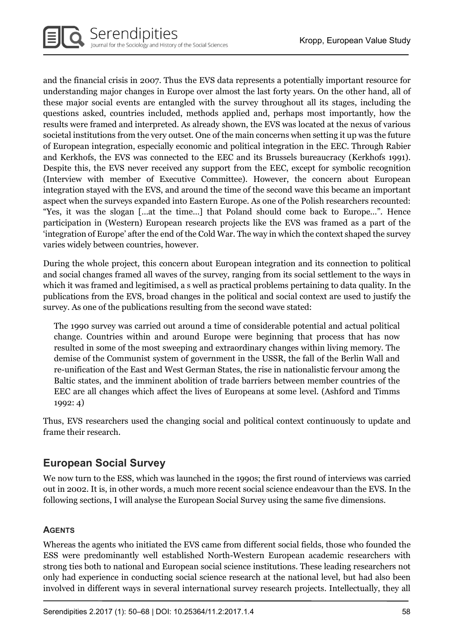and the financial crisis in 2007. Thus the EVS data represents a potentially important resource for understanding major changes in Europe over almost the last forty years. On the other hand, all of these major social events are entangled with the survey throughout all its stages, including the questions asked, countries included, methods applied and, perhaps most importantly, how the results were framed and interpreted. As already shown, the EVS was located at the nexus of various societal institutions from the very outset. One of the main concerns when setting it up was the future of European integration, especially economic and political integration in the EEC. Through Rabier and Kerkhofs, the EVS was connected to the EEC and its Brussels bureaucracy (Kerkhofs 1991). Despite this, the EVS never received any support from the EEC, except for symbolic recognition (Interview with member of Executive Committee). However, the concern about European integration stayed with the EVS, and around the time of the second wave this became an important aspect when the surveys expanded into Eastern Europe. As one of the Polish researchers recounted: "Yes, it was the slogan […at the time…] that Poland should come back to Europe…". Hence participation in (Western) European research projects like the EVS was framed as a part of the 'integration of Europe' after the end of the Cold War. The way in which the context shaped the survey varies widely between countries, however.

During the whole project, this concern about European integration and its connection to political and social changes framed all waves of the survey, ranging from its social settlement to the ways in which it was framed and legitimised, a s well as practical problems pertaining to data quality. In the publications from the EVS, broad changes in the political and social context are used to justify the survey. As one of the publications resulting from the second wave stated:

The 1990 survey was carried out around a time of considerable potential and actual political change. Countries within and around Europe were beginning that process that has now resulted in some of the most sweeping and extraordinary changes within living memory. The demise of the Communist system of government in the USSR, the fall of the Berlin Wall and re-unification of the East and West German States, the rise in nationalistic fervour among the Baltic states, and the imminent abolition of trade barriers between member countries of the EEC are all changes which affect the lives of Europeans at some level. (Ashford and Timms 1992: 4)

Thus, EVS researchers used the changing social and political context continuously to update and frame their research.

## European Social Survey

We now turn to the ESS, which was launched in the 1990s; the first round of interviews was carried out in 2002. It is, in other words, a much more recent social science endeavour than the EVS. In the following sections, I will analyse the European Social Survey using the same five dimensions.

### **AGENTS**

Whereas the agents who initiated the EVS came from different social fields, those who founded the ESS were predominantly well established North-Western European academic researchers with strong ties both to national and European social science institutions. These leading researchers not only had experience in conducting social science research at the national level, but had also been involved in different ways in several international survey research projects. Intellectually, they all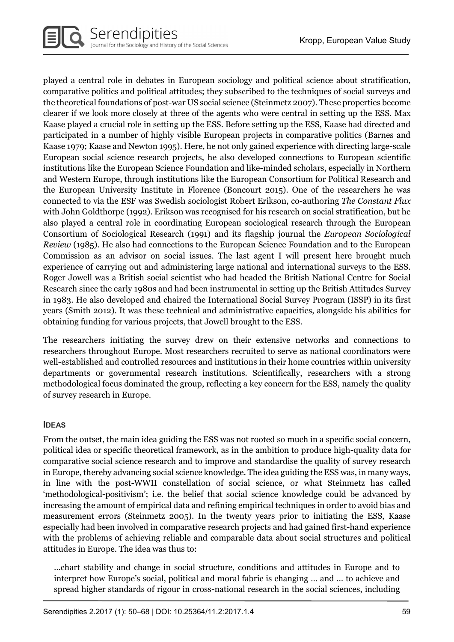played a central role in debates in European sociology and political science about stratification, comparative politics and political attitudes; they subscribed to the techniques of social surveys and the theoretical foundations of post-war US social science (Steinmetz 2007). These properties become clearer if we look more closely at three of the agents who were central in setting up the ESS. Max Kaase played a crucial role in setting up the ESS. Before setting up the ESS, Kaase had directed and participated in a number of highly visible European projects in comparative politics (Barnes and Kaase 1979; Kaase and Newton 1995). Here, he not only gained experience with directing large-scale European social science research projects, he also developed connections to European scientific institutions like the European Science Foundation and like-minded scholars, especially in Northern and Western Europe, through institutions like the European Consortium for Political Research and the European University Institute in Florence (Boncourt 2015). One of the researchers he was connected to via the ESF was Swedish sociologist Robert Erikson, co-authoring The Constant Flux with John Goldthorpe (1992). Erikson was recognised for his research on social stratification, but he also played a central role in coordinating European sociological research through the European Consortium of Sociological Research (1991) and its flagship journal the European Sociological Review (1985). He also had connections to the European Science Foundation and to the European Commission as an advisor on social issues. The last agent I will present here brought much experience of carrying out and administering large national and international surveys to the ESS. Roger Jowell was a British social scientist who had headed the British National Centre for Social Research since the early 1980s and had been instrumental in setting up the British Attitudes Survey in 1983. He also developed and chaired the International Social Survey Program (ISSP) in its first years (Smith 2012). It was these technical and administrative capacities, alongside his abilities for obtaining funding for various projects, that Jowell brought to the ESS.

The researchers initiating the survey drew on their extensive networks and connections to researchers throughout Europe. Most researchers recruited to serve as national coordinators were well-established and controlled resources and institutions in their home countries within university departments or governmental research institutions. Scientifically, researchers with a strong methodological focus dominated the group, reflecting a key concern for the ESS, namely the quality of survey research in Europe.

#### IDEAS

From the outset, the main idea guiding the ESS was not rooted so much in a specific social concern, political idea or specific theoretical framework, as in the ambition to produce high-quality data for comparative social science research and to improve and standardise the quality of survey research in Europe, thereby advancing social science knowledge. The idea guiding the ESS was, in many ways, in line with the post-WWII constellation of social science, or what Steinmetz has called 'methodological-positivism'; i.e. the belief that social science knowledge could be advanced by increasing the amount of empirical data and refining empirical techniques in order to avoid bias and measurement errors (Steinmetz 2005). In the twenty years prior to initiating the ESS, Kaase especially had been involved in comparative research projects and had gained first-hand experience with the problems of achieving reliable and comparable data about social structures and political attitudes in Europe. The idea was thus to:

…chart stability and change in social structure, conditions and attitudes in Europe and to interpret how Europe's social, political and moral fabric is changing … and … to achieve and spread higher standards of rigour in cross-national research in the social sciences, including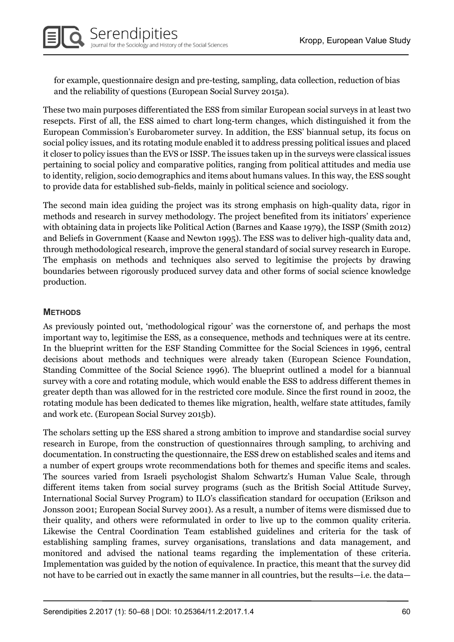for example, questionnaire design and pre-testing, sampling, data collection, reduction of bias and the reliability of questions (European Social Survey 2015a).

These two main purposes differentiated the ESS from similar European social surveys in at least two resepcts. First of all, the ESS aimed to chart long-term changes, which distinguished it from the European Commission's Eurobarometer survey. In addition, the ESS' biannual setup, its focus on social policy issues, and its rotating module enabled it to address pressing political issues and placed it closer to policy issues than the EVS or ISSP. The issues taken up in the surveys were classical issues pertaining to social policy and comparative politics, ranging from political attitudes and media use to identity, religion, socio demographics and items about humans values. In this way, the ESS sought to provide data for established sub-fields, mainly in political science and sociology.

The second main idea guiding the project was its strong emphasis on high-quality data, rigor in methods and research in survey methodology. The project benefited from its initiators' experience with obtaining data in projects like Political Action (Barnes and Kaase 1979), the ISSP (Smith 2012) and Beliefs in Government (Kaase and Newton 1995). The ESS was to deliver high-quality data and, through methodological research, improve the general standard of social survey research in Europe. The emphasis on methods and techniques also served to legitimise the projects by drawing boundaries between rigorously produced survey data and other forms of social science knowledge production.

#### **METHODS**

As previously pointed out, 'methodological rigour' was the cornerstone of, and perhaps the most important way to, legitimise the ESS, as a consequence, methods and techniques were at its centre. In the blueprint written for the ESF Standing Committee for the Social Sciences in 1996, central decisions about methods and techniques were already taken (European Science Foundation, Standing Committee of the Social Science 1996). The blueprint outlined a model for a biannual survey with a core and rotating module, which would enable the ESS to address different themes in greater depth than was allowed for in the restricted core module. Since the first round in 2002, the rotating module has been dedicated to themes like migration, health, welfare state attitudes, family and work etc. (European Social Survey 2015b).

The scholars setting up the ESS shared a strong ambition to improve and standardise social survey research in Europe, from the construction of questionnaires through sampling, to archiving and documentation. In constructing the questionnaire, the ESS drew on established scales and items and a number of expert groups wrote recommendations both for themes and specific items and scales. The sources varied from Israeli psychologist Shalom Schwartz's Human Value Scale, through different items taken from social survey programs (such as the British Social Attitude Survey, International Social Survey Program) to ILO's classification standard for occupation (Erikson and Jonsson 2001; European Social Survey 2001). As a result, a number of items were dismissed due to their quality, and others were reformulated in order to live up to the common quality criteria. Likewise the Central Coordination Team established guidelines and criteria for the task of establishing sampling frames, survey organisations, translations and data management, and monitored and advised the national teams regarding the implementation of these criteria. Implementation was guided by the notion of equivalence. In practice, this meant that the survey did not have to be carried out in exactly the same manner in all countries, but the results—i.e. the data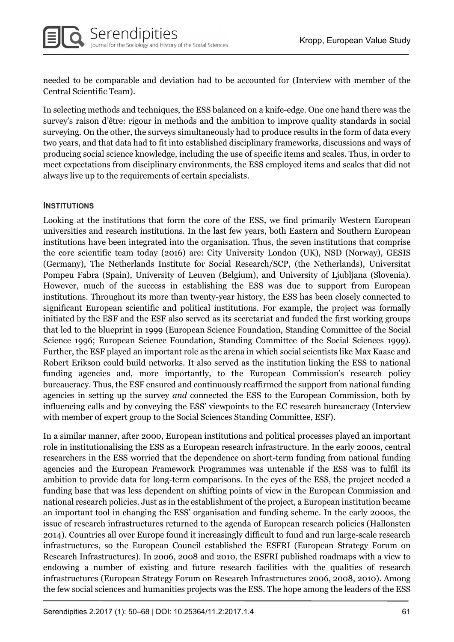needed to be comparable and deviation had to be accounted for (Interview with member of the Central Scientific Team).

In selecting methods and techniques, the ESS balanced on a knife-edge. One one hand there was the survey's raison d'être: rigour in methods and the ambition to improve quality standards in social surveying. On the other, the surveys simultaneously had to produce results in the form of data every two years, and that data had to fit into established disciplinary frameworks, discussions and ways of producing social science knowledge, including the use of specific items and scales. Thus, in order to meet expectations from disciplinary environments, the ESS employed items and scales that did not always live up to the requirements of certain specialists.

#### **INSTITUTIONS**

Looking at the institutions that form the core of the ESS, we find primarily Western European universities and research institutions. In the last few years, both Eastern and Southern European institutions have been integrated into the organisation. Thus, the seven institutions that comprise the core scientific team today (2016) are: City University London (UK), NSD (Norway), GESIS (Germany), The Netherlands Institute for Social Research/SCP, (the Netherlands), Universitat Pompeu Fabra (Spain), University of Leuven (Belgium), and University of Ljubljana (Slovenia). However, much of the success in establishing the ESS was due to support from European institutions. Throughout its more than twenty-year history, the ESS has been closely connected to significant European scientific and political institutions. For example, the project was formally initiated by the ESF and the ESF also served as its secretariat and funded the first working groups that led to the blueprint in 1999 (European Science Foundation, Standing Committee of the Social Science 1996; European Science Foundation, Standing Committee of the Social Sciences 1999). Further, the ESF played an important role as the arena in which social scientists like Max Kaase and Robert Erikson could build networks. It also served as the institution linking the ESS to national funding agencies and, more importantly, to the European Commission's research policy bureaucracy. Thus, the ESF ensured and continuously reaffirmed the support from national funding agencies in setting up the survey and connected the ESS to the European Commission, both by influencing calls and by conveying the ESS' viewpoints to the EC research bureaucracy (Interview with member of expert group to the Social Sciences Standing Committee, ESF).

In a similar manner, after 2000, European institutions and political processes played an important role in institutionalising the ESS as a European research infrastructure. In the early 2000s, central researchers in the ESS worried that the dependence on short-term funding from national funding agencies and the European Framework Programmes was untenable if the ESS was to fulfil its ambition to provide data for long-term comparisons. In the eyes of the ESS, the project needed a funding base that was less dependent on shifting points of view in the European Commission and national research policies. Just as in the establishment of the project, a European institution became an important tool in changing the ESS' organisation and funding scheme. In the early 2000s, the issue of research infrastructures returned to the agenda of European research policies (Hallonsten 2014). Countries all over Europe found it increasingly difficult to fund and run large-scale research infrastructures, so the European Council established the ESFRI (European Strategy Forum on Research Infrastructures). In 2006, 2008 and 2010, the ESFRI published roadmaps with a view to endowing a number of existing and future research facilities with the qualities of research infrastructures (European Strategy Forum on Research Infrastructures 2006, 2008, 2010). Among the few social sciences and humanities projects was the ESS. The hope among the leaders of the ESS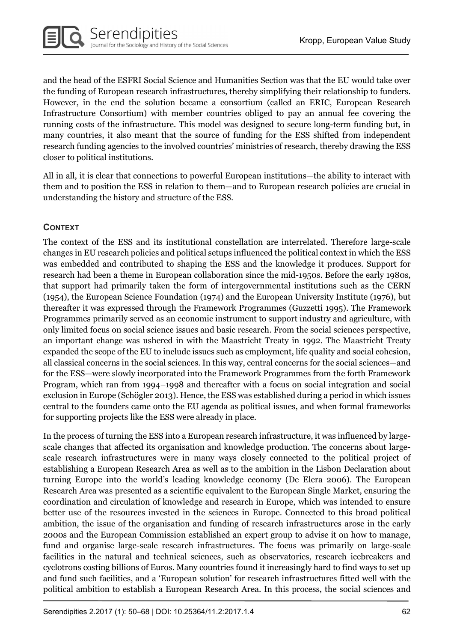and the head of the ESFRI Social Science and Humanities Section was that the EU would take over the funding of European research infrastructures, thereby simplifying their relationship to funders. However, in the end the solution became a consortium (called an ERIC, European Research Infrastructure Consortium) with member countries obliged to pay an annual fee covering the running costs of the infrastructure. This model was designed to secure long-term funding but, in many countries, it also meant that the source of funding for the ESS shifted from independent research funding agencies to the involved countries' ministries of research, thereby drawing the ESS closer to political institutions.

All in all, it is clear that connections to powerful European institutions—the ability to interact with them and to position the ESS in relation to them—and to European research policies are crucial in understanding the history and structure of the ESS.

#### CONTEXT

The context of the ESS and its institutional constellation are interrelated. Therefore large-scale changes in EU research policies and political setups influenced the political context in which the ESS was embedded and contributed to shaping the ESS and the knowledge it produces. Support for research had been a theme in European collaboration since the mid-1950s. Before the early 1980s, that support had primarily taken the form of intergovernmental institutions such as the CERN (1954), the European Science Foundation (1974) and the European University Institute (1976), but thereafter it was expressed through the Framework Programmes (Guzzetti 1995). The Framework Programmes primarily served as an economic instrument to support industry and agriculture, with only limited focus on social science issues and basic research. From the social sciences perspective, an important change was ushered in with the Maastricht Treaty in 1992. The Maastricht Treaty expanded the scope of the EU to include issues such as employment, life quality and social cohesion, all classical concerns in the social sciences. In this way, central concerns for the social sciences—and for the ESS—were slowly incorporated into the Framework Programmes from the forth Framework Program, which ran from 1994–1998 and thereafter with a focus on social integration and social exclusion in Europe (Schögler 2013). Hence, the ESS was established during a period in which issues central to the founders came onto the EU agenda as political issues, and when formal frameworks for supporting projects like the ESS were already in place.

In the process of turning the ESS into a European research infrastructure, it was influenced by largescale changes that affected its organisation and knowledge production. The concerns about largescale research infrastructures were in many ways closely connected to the political project of establishing a European Research Area as well as to the ambition in the Lisbon Declaration about turning Europe into the world's leading knowledge economy (De Elera 2006). The European Research Area was presented as a scientific equivalent to the European Single Market, ensuring the coordination and circulation of knowledge and research in Europe, which was intended to ensure better use of the resources invested in the sciences in Europe. Connected to this broad political ambition, the issue of the organisation and funding of research infrastructures arose in the early 2000s and the European Commission established an expert group to advise it on how to manage, fund and organise large-scale research infrastructures. The focus was primarily on large-scale facilities in the natural and technical sciences, such as observatories, research icebreakers and cyclotrons costing billions of Euros. Many countries found it increasingly hard to find ways to set up and fund such facilities, and a 'European solution' for research infrastructures fitted well with the political ambition to establish a European Research Area. In this process, the social sciences and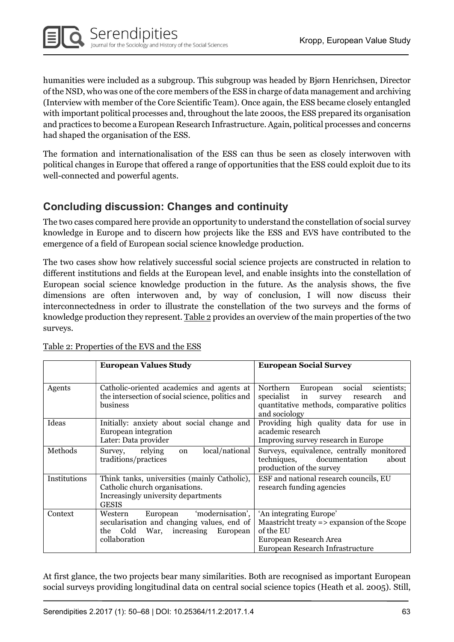humanities were included as a subgroup. This subgroup was headed by Bjørn Henrichsen, Director of the NSD, who was one of the core members of the ESS in charge of data management and archiving (Interview with member of the Core Scientific Team). Once again, the ESS became closely entangled with important political processes and, throughout the late 2000s, the ESS prepared its organisation and practices to become a European Research Infrastructure. Again, political processes and concerns had shaped the organisation of the ESS.

The formation and internationalisation of the ESS can thus be seen as closely interwoven with political changes in Europe that offered a range of opportunities that the ESS could exploit due to its well-connected and powerful agents.

## Concluding discussion: Changes and continuity

The two cases compared here provide an opportunity to understand the constellation of social survey knowledge in Europe and to discern how projects like the ESS and EVS have contributed to the emergence of a field of European social science knowledge production.

The two cases show how relatively successful social science projects are constructed in relation to different institutions and fields at the European level, and enable insights into the constellation of European social science knowledge production in the future. As the analysis shows, the five dimensions are often interwoven and, by way of conclusion, I will now discuss their interconnectedness in order to illustrate the constellation of the two surveys and the forms of knowledge production they represent. Table 2 provides an overview of the main properties of the two surveys.

|              | <b>European Values Study</b>                                                                                                                   | <b>European Social Survey</b>                                                                                                                                 |
|--------------|------------------------------------------------------------------------------------------------------------------------------------------------|---------------------------------------------------------------------------------------------------------------------------------------------------------------|
| Agents       | Catholic-oriented academics and agents at<br>the intersection of social science, politics and<br>business                                      | Northern<br>social<br>European<br>scientists;<br>specialist<br>in<br>survey<br>research<br>and<br>quantitative methods, comparative politics<br>and sociology |
| Ideas        | Initially: anxiety about social change and<br>European integration<br>Later: Data provider                                                     | Providing high quality data for use in<br>academic research<br>Improving survey research in Europe                                                            |
| Methods      | local/national<br>relying<br>Survey,<br>on<br>traditions/practices                                                                             | Surveys, equivalence, centrally monitored<br>techniques, documentation<br>about<br>production of the survey                                                   |
| Institutions | Think tanks, universities (mainly Catholic),<br>Catholic church organisations.<br>Increasingly university departments<br><b>GESIS</b>          | ESF and national research councils, EU<br>research funding agencies                                                                                           |
| Context      | 'modernisation',<br>European<br>Western<br>secularisation and changing values, end of<br>the Cold War, increasing<br>European<br>collaboration | 'An integrating Europe'<br>Maastricht treaty $\Rightarrow$ expansion of the Scope<br>of the EU<br>European Research Area<br>European Research Infrastructure  |

Table 2: Properties of the EVS and the ESS

At first glance, the two projects bear many similarities. Both are recognised as important European social surveys providing longitudinal data on central social science topics (Heath et al. 2005). Still,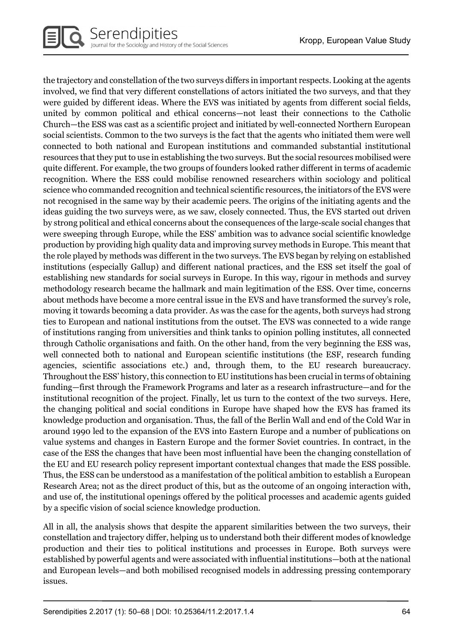the trajectory and constellation of the two surveys differs in important respects. Looking at the agents involved, we find that very different constellations of actors initiated the two surveys, and that they were guided by different ideas. Where the EVS was initiated by agents from different social fields, united by common political and ethical concerns—not least their connections to the Catholic Church—the ESS was cast as a scientific project and initiated by well-connected Northern European social scientists. Common to the two surveys is the fact that the agents who initiated them were well connected to both national and European institutions and commanded substantial institutional resources that they put to use in establishing the two surveys. But the social resources mobilised were quite different. For example, the two groups of founders looked rather different in terms of academic recognition. Where the ESS could mobilise renowned researchers within sociology and political science who commanded recognition and technical scientific resources, the initiators of the EVS were not recognised in the same way by their academic peers. The origins of the initiating agents and the ideas guiding the two surveys were, as we saw, closely connected. Thus, the EVS started out driven by strong political and ethical concerns about the consequences of the large-scale social changes that were sweeping through Europe, while the ESS' ambition was to advance social scientific knowledge production by providing high quality data and improving survey methods in Europe. This meant that the role played by methods was different in the two surveys. The EVS began by relying on established institutions (especially Gallup) and different national practices, and the ESS set itself the goal of establishing new standards for social surveys in Europe. In this way, rigour in methods and survey methodology research became the hallmark and main legitimation of the ESS. Over time, concerns about methods have become a more central issue in the EVS and have transformed the survey's role, moving it towards becoming a data provider. As was the case for the agents, both surveys had strong ties to European and national institutions from the outset. The EVS was connected to a wide range of institutions ranging from universities and think tanks to opinion polling institutes, all connected through Catholic organisations and faith. On the other hand, from the very beginning the ESS was, well connected both to national and European scientific institutions (the ESF, research funding agencies, scientific associations etc.) and, through them, to the EU research bureaucracy. Throughout the ESS' history, this connection to EU institutions has been crucial in terms of obtaining funding—first through the Framework Programs and later as a research infrastructure—and for the institutional recognition of the project. Finally, let us turn to the context of the two surveys. Here, the changing political and social conditions in Europe have shaped how the EVS has framed its knowledge production and organisation. Thus, the fall of the Berlin Wall and end of the Cold War in around 1990 led to the expansion of the EVS into Eastern Europe and a number of publications on value systems and changes in Eastern Europe and the former Soviet countries. In contract, in the case of the ESS the changes that have been most influential have been the changing constellation of the EU and EU research policy represent important contextual changes that made the ESS possible. Thus, the ESS can be understood as a manifestation of the political ambition to establish a European Research Area; not as the direct product of this, but as the outcome of an ongoing interaction with, and use of, the institutional openings offered by the political processes and academic agents guided by a specific vision of social science knowledge production.

All in all, the analysis shows that despite the apparent similarities between the two surveys, their constellation and trajectory differ, helping us to understand both their different modes of knowledge production and their ties to political institutions and processes in Europe. Both surveys were established by powerful agents and were associated with influential institutions—both at the national and European levels—and both mobilised recognised models in addressing pressing contemporary issues.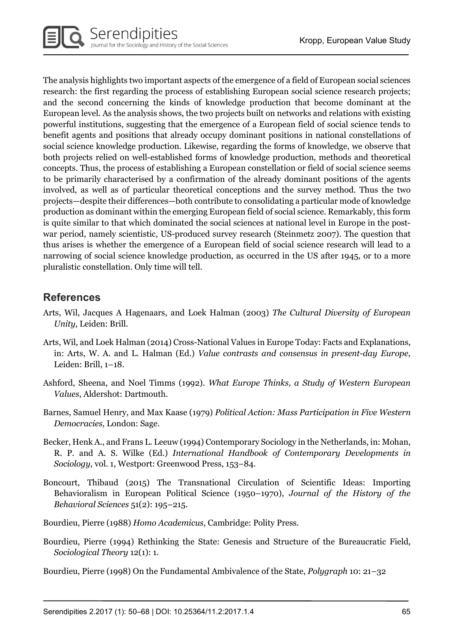The analysis highlights two important aspects of the emergence of a field of European social sciences research: the first regarding the process of establishing European social science research projects; and the second concerning the kinds of knowledge production that become dominant at the European level. As the analysis shows, the two projects built on networks and relations with existing powerful institutions, suggesting that the emergence of a European field of social science tends to benefit agents and positions that already occupy dominant positions in national constellations of social science knowledge production. Likewise, regarding the forms of knowledge, we observe that both projects relied on well-established forms of knowledge production, methods and theoretical concepts. Thus, the process of establishing a European constellation or field of social science seems to be primarily characterised by a confirmation of the already dominant positions of the agents involved, as well as of particular theoretical conceptions and the survey method. Thus the two projects—despite their differences—both contribute to consolidating a particular mode of knowledge production as dominant within the emerging European field of social science. Remarkably, this form is quite similar to that which dominated the social sciences at national level in Europe in the postwar period, namely scientistic, US-produced survey research (Steinmetz 2007). The question that thus arises is whether the emergence of a European field of social science research will lead to a narrowing of social science knowledge production, as occurred in the US after 1945, or to a more pluralistic constellation. Only time will tell.

## **References**

- Arts, Wil, Jacques A Hagenaars, and Loek Halman (2003) The Cultural Diversity of European Unity, Leiden: Brill.
- Arts, Wil, and Loek Halman (2014) Cross-National Values in Europe Today: Facts and Explanations, in: Arts, W. A. and L. Halman (Ed.) Value contrasts and consensus in present-day Europe, Leiden: Brill, 1–18.
- Ashford, Sheena, and Noel Timms (1992). What Europe Thinks, a Study of Western European Values, Aldershot: Dartmouth.
- Barnes, Samuel Henry, and Max Kaase (1979) Political Action: Mass Participation in Five Western Democracies, London: Sage.
- Becker, Henk A., and Frans L. Leeuw (1994) Contemporary Sociology in the Netherlands, in: Mohan, R. P. and A. S. Wilke (Ed.) International Handbook of Contemporary Developments in Sociology, vol. 1, Westport: Greenwood Press, 153–84.
- Boncourt, Thibaud (2015) The Transnational Circulation of Scientific Ideas: Importing Behavioralism in European Political Science (1950–1970), Journal of the History of the Behavioral Sciences 51(2): 195–215.
- Bourdieu, Pierre (1988) Homo Academicus, Cambridge: Polity Press.
- Bourdieu, Pierre (1994) Rethinking the State: Genesis and Structure of the Bureaucratic Field, Sociological Theory 12(1): 1.
- Bourdieu, Pierre (1998) On the Fundamental Ambivalence of the State, Polygraph 10: 21–32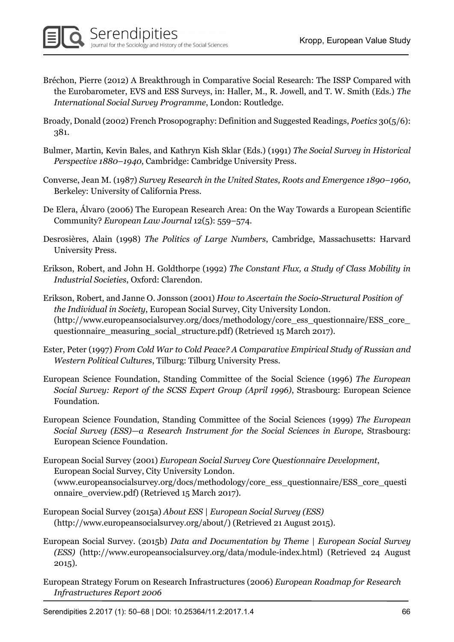- Bréchon, Pierre (2012) A Breakthrough in Comparative Social Research: The ISSP Compared with the Eurobarometer, EVS and ESS Surveys, in: Haller, M., R. Jowell, and T. W. Smith (Eds.) The International Social Survey Programme, London: Routledge.
- Broady, Donald (2002) French Prosopography: Definition and Suggested Readings, Poetics 30(5/6): 381.
- Bulmer, Martin, Kevin Bales, and Kathryn Kish Sklar (Eds.) (1991) The Social Survey in Historical Perspective 1880–1940, Cambridge: Cambridge University Press.
- Converse, Jean M. (1987) Survey Research in the United States, Roots and Emergence 1890–1960, Berkeley: University of California Press.
- De Elera, Álvaro (2006) The European Research Area: On the Way Towards a European Scientific Community? European Law Journal 12(5): 559–574.
- Desrosières, Alain (1998) The Politics of Large Numbers, Cambridge, Massachusetts: Harvard University Press.
- Erikson, Robert, and John H. Goldthorpe (1992) The Constant Flux, a Study of Class Mobility in Industrial Societies, Oxford: Clarendon.
- Erikson, Robert, and Janne O. Jonsson (2001) How to Ascertain the Socio-Structural Position of the Individual in Society, European Social Survey, City University London. (http://www.europeansocialsurvey.org/docs/methodology/core\_ess\_questionnaire/ESS\_core\_ questionnaire\_measuring\_social\_structure.pdf) (Retrieved 15 March 2017).
- Ester, Peter (1997) From Cold War to Cold Peace? A Comparative Empirical Study of Russian and Western Political Cultures, Tilburg: Tilburg University Press.
- European Science Foundation, Standing Committee of the Social Science (1996) The European Social Survey: Report of the SCSS Expert Group (April 1996), Strasbourg: European Science Foundation.
- European Science Foundation, Standing Committee of the Social Sciences (1999) The European Social Survey (ESS)—a Research Instrument for the Social Sciences in Europe, Strasbourg: European Science Foundation.
- European Social Survey (2001) European Social Survey Core Questionnaire Development, European Social Survey, City University London. (www.europeansocialsurvey.org/docs/methodology/core\_ess\_questionnaire/ESS\_core\_questi
- onnaire\_overview.pdf) (Retrieved 15 March 2017).
- European Social Survey (2015a) About ESS | European Social Survey (ESS) (http://www.europeansocialsurvey.org/about/) (Retrieved 21 August 2015).
- European Social Survey. (2015b) Data and Documentation by Theme | European Social Survey (ESS) (http://www.europeansocialsurvey.org/data/module-index.html) (Retrieved 24 August 2015).
- European Strategy Forum on Research Infrastructures (2006) European Roadmap for Research Infrastructures Report 2006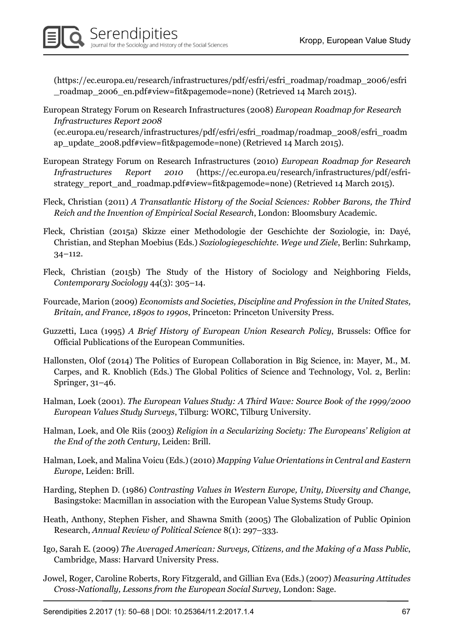(https://ec.europa.eu/research/infrastructures/pdf/esfri/esfri\_roadmap/roadmap\_2006/esfri \_roadmap\_2006\_en.pdf#view=fit&pagemode=none) (Retrieved 14 March 2015).

- European Strategy Forum on Research Infrastructures (2008) European Roadmap for Research Infrastructures Report 2008 (ec.europa.eu/research/infrastructures/pdf/esfri/esfri\_roadmap/roadmap\_2008/esfri\_roadm ap\_update\_2008.pdf#view=fit&pagemode=none) (Retrieved 14 March 2015).
- European Strategy Forum on Research Infrastructures (2010) European Roadmap for Research Infrastructures Report 2010 (https://ec.europa.eu/research/infrastructures/pdf/esfristrategy\_report\_and\_roadmap.pdf#view=fit&pagemode=none) (Retrieved 14 March 2015).
- Fleck, Christian (2011) A Transatlantic History of the Social Sciences: Robber Barons, the Third Reich and the Invention of Empirical Social Research, London: Bloomsbury Academic.
- Fleck, Christian (2015a) Skizze einer Methodologie der Geschichte der Soziologie, in: Dayé, Christian, and Stephan Moebius (Eds.) Soziologiegeschichte. Wege und Ziele, Berlin: Suhrkamp, 34–112.
- Fleck, Christian (2015b) The Study of the History of Sociology and Neighboring Fields, Contemporary Sociology 44(3): 305–14.
- Fourcade, Marion (2009) Economists and Societies, Discipline and Profession in the United States, Britain, and France, 1890s to 1990s, Princeton: Princeton University Press.
- Guzzetti, Luca (1995) A Brief History of European Union Research Policy, Brussels: Office for Official Publications of the European Communities.
- Hallonsten, Olof (2014) The Politics of European Collaboration in Big Science, in: Mayer, M., M. Carpes, and R. Knoblich (Eds.) The Global Politics of Science and Technology, Vol. 2, Berlin: Springer, 31–46.
- Halman, Loek (2001). The European Values Study: A Third Wave: Source Book of the 1999/2000 European Values Study Surveys, Tilburg: WORC, Tilburg University.
- Halman, Loek, and Ole Riis (2003) Religion in a Secularizing Society: The Europeans' Religion at the End of the 20th Century, Leiden: Brill.
- Halman, Loek, and Malina Voicu (Eds.) (2010) Mapping Value Orientations in Central and Eastern Europe, Leiden: Brill.
- Harding, Stephen D. (1986) Contrasting Values in Western Europe, Unity, Diversity and Change, Basingstoke: Macmillan in association with the European Value Systems Study Group.
- Heath, Anthony, Stephen Fisher, and Shawna Smith (2005) The Globalization of Public Opinion Research, Annual Review of Political Science 8(1): 297–333.
- Igo, Sarah E. (2009) The Averaged American: Surveys, Citizens, and the Making of a Mass Public, Cambridge, Mass: Harvard University Press.
- Jowel, Roger, Caroline Roberts, Rory Fitzgerald, and Gillian Eva (Eds.) (2007) Measuring Attitudes Cross-Nationally, Lessons from the European Social Survey, London: Sage.